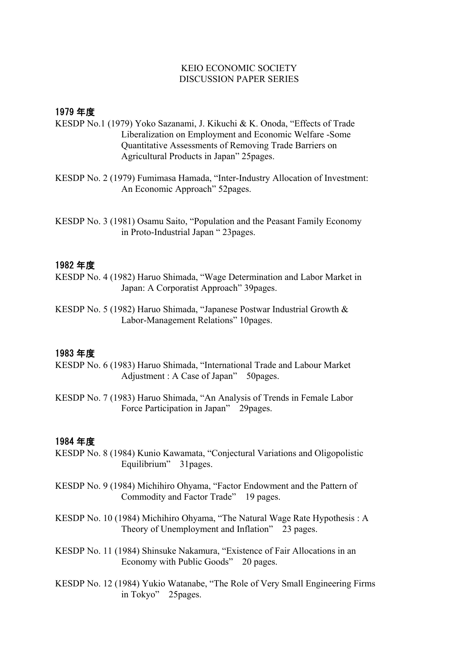## KEIO ECONOMIC SOCIETY DISCUSSION PAPER SERIES

# 1979 年度

- KESDP No.1 (1979) Yoko Sazanami, J. Kikuchi & K. Onoda, "Effects of Trade Liberalization on Employment and Economic Welfare -Some Quantitative Assessments of Removing Trade Barriers on Agricultural Products in Japan" 25pages.
- KESDP No. 2 (1979) Fumimasa Hamada, "Inter-Industry Allocation of Investment: An Economic Approach" 52pages.

KESDP No. 3 (1981) Osamu Saito, "Population and the Peasant Family Economy in Proto-Industrial Japan " 23pages.

### 1982 年度

- KESDP No. 4 (1982) Haruo Shimada, "Wage Determination and Labor Market in Japan: A Corporatist Approach" 39pages.
- KESDP No. 5 (1982) Haruo Shimada, "Japanese Postwar Industrial Growth & Labor-Management Relations" 10pages.

## 1983 年度

- KESDP No. 6 (1983) Haruo Shimada, "International Trade and Labour Market Adjustment : A Case of Japan" 50 pages.
- KESDP No. 7 (1983) Haruo Shimada, "An Analysis of Trends in Female Labor Force Participation in Japan" 29pages.

- KESDP No. 8 (1984) Kunio Kawamata, "Conjectural Variations and Oligopolistic Equilibrium" 31pages.
- KESDP No. 9 (1984) Michihiro Ohyama, "Factor Endowment and the Pattern of Commodity and Factor Trade" 19 pages.
- KESDP No. 10 (1984) Michihiro Ohyama, "The Natural Wage Rate Hypothesis : A Theory of Unemployment and Inflation" 23 pages.
- KESDP No. 11 (1984) Shinsuke Nakamura, "Existence of Fair Allocations in an Economy with Public Goods" 20 pages.
- KESDP No. 12 (1984) Yukio Watanabe, "The Role of Very Small Engineering Firms in Tokyo" 25pages.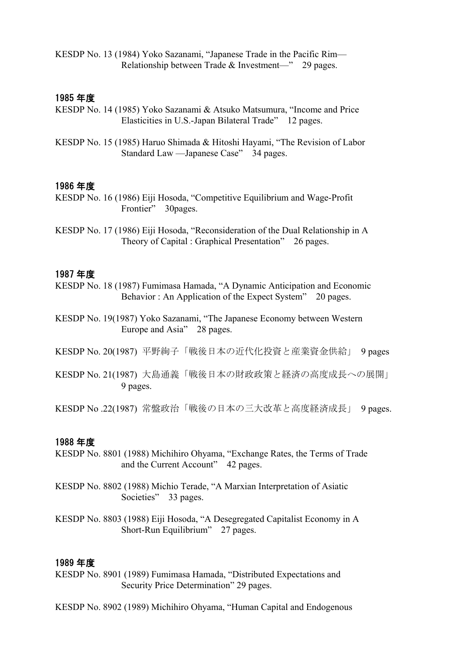KESDP No. 13 (1984) Yoko Sazanami, "Japanese Trade in the Pacific Rim— Relationship between Trade & Investment—" 29 pages.

### 1985 年度

- KESDP No. 14 (1985) Yoko Sazanami & Atsuko Matsumura, "Income and Price Elasticities in U.S.-Japan Bilateral Trade" 12 pages.
- KESDP No. 15 (1985) Haruo Shimada & Hitoshi Hayami, "The Revision of Labor Standard Law —Japanese Case" 34 pages.

#### 1986 年度

- KESDP No. 16 (1986) Eiji Hosoda, "Competitive Equilibrium and Wage-Profit Frontier" 30pages.
- KESDP No. 17 (1986) Eiji Hosoda, "Reconsideration of the Dual Relationship in A Theory of Capital : Graphical Presentation" 26 pages.

### 1987 年度

- KESDP No. 18 (1987) Fumimasa Hamada, "A Dynamic Anticipation and Economic Behavior : An Application of the Expect System" 20 pages.
- KESDP No. 19(1987) Yoko Sazanami, "The Japanese Economy between Western Europe and Asia" 28 pages.
- KESDP No. 20(1987) 平野絢子「戦後日本の近代化投資と産業資金供給」 9 pages
- KESDP No. 21(1987) 大島通義「戦後日本の財政政策と経済の高度成長への展開」 9 pages.

KESDP No .22(1987) 常盤政治「戦後の日本の三大改革と高度経済成長」 9 pages.

#### 1988 年度

- KESDP No. 8801 (1988) Michihiro Ohyama, "Exchange Rates, the Terms of Trade and the Current Account" 42 pages.
- KESDP No. 8802 (1988) Michio Terade, "A Marxian Interpretation of Asiatic Societies" 33 pages.
- KESDP No. 8803 (1988) Eiji Hosoda, "A Desegregated Capitalist Economy in A Short-Run Equilibrium" 27 pages.

- KESDP No. 8901 (1989) Fumimasa Hamada, "Distributed Expectations and Security Price Determination" 29 pages.
- KESDP No. 8902 (1989) Michihiro Ohyama, "Human Capital and Endogenous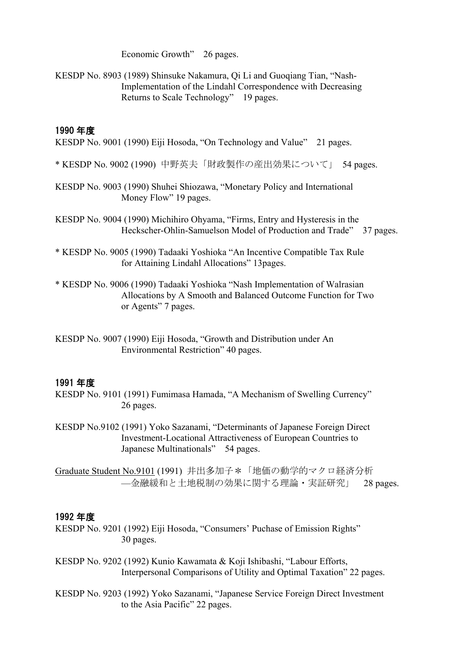Economic Growth" 26 pages.

KESDP No. 8903 (1989) Shinsuke Nakamura, Qi Li and Guoqiang Tian, "Nash- Implementation of the Lindahl Correspondence with Decreasing Returns to Scale Technology" 19 pages.

# 1990 年度

KESDP No. 9001 (1990) Eiji Hosoda, "On Technology and Value" 21 pages.

- \* KESDP No. 9002 (1990) 中野英夫「財政製作の産出効果について」 54 pages.
- KESDP No. 9003 (1990) Shuhei Shiozawa, "Monetary Policy and International Money Flow" 19 pages.
- KESDP No. 9004 (1990) Michihiro Ohyama, "Firms, Entry and Hysteresis in the Heckscher-Ohlin-Samuelson Model of Production and Trade" 37 pages.
- \* KESDP No. 9005 (1990) Tadaaki Yoshioka "An Incentive Compatible Tax Rule for Attaining Lindahl Allocations" 13pages.
- \* KESDP No. 9006 (1990) Tadaaki Yoshioka "Nash Implementation of Walrasian Allocations by A Smooth and Balanced Outcome Function for Two or Agents" 7 pages.
- KESDP No. 9007 (1990) Eiji Hosoda, "Growth and Distribution under An Environmental Restriction" 40 pages.

# 1991 年度

- KESDP No. 9101 (1991) Fumimasa Hamada, "A Mechanism of Swelling Currency" 26 pages.
- KESDP No.9102 (1991) Yoko Sazanami, "Determinants of Japanese Foreign Direct Investment-Locational Attractiveness of European Countries to Japanese Multinationals" 54 pages.

Graduate Student No.9101 (1991) 井出多加子\*「地価の動学的マクロ経済分析 —金融緩和と土地税制の効果に関する理論・実証研究」 28 pages.

- KESDP No. 9201 (1992) Eiji Hosoda, "Consumers' Puchase of Emission Rights" 30 pages.
- KESDP No. 9202 (1992) Kunio Kawamata & Koji Ishibashi, "Labour Efforts, Interpersonal Comparisons of Utility and Optimal Taxation" 22 pages.
- KESDP No. 9203 (1992) Yoko Sazanami, "Japanese Service Foreign Direct Investment to the Asia Pacific" 22 pages.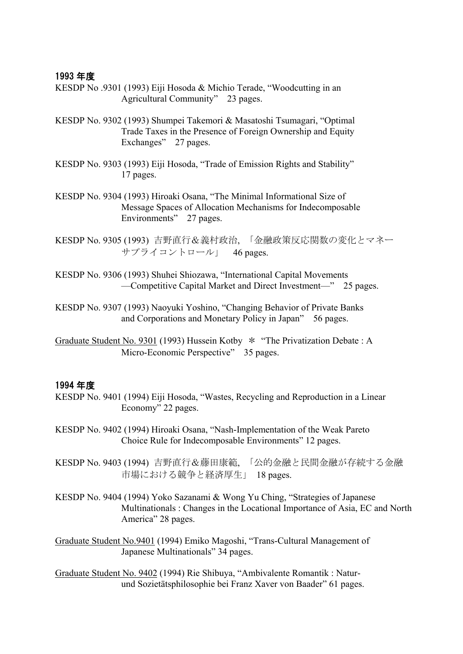## 1993 年度

- KESDP No .9301 (1993) Eiji Hosoda & Michio Terade, "Woodcutting in an Agricultural Community" 23 pages.
- KESDP No. 9302 (1993) Shumpei Takemori & Masatoshi Tsumagari, "Optimal Trade Taxes in the Presence of Foreign Ownership and Equity Exchanges" 27 pages.
- KESDP No. 9303 (1993) Eiji Hosoda, "Trade of Emission Rights and Stability" 17 pages.
- KESDP No. 9304 (1993) Hiroaki Osana, "The Minimal Informational Size of Message Spaces of Allocation Mechanisms for Indecomposable Environments" 27 pages.
- KESDP No. 9305 (1993) 吉野直行&義村政治, 「金融政策反応関数の変化とマネー サプライコントロール」 46 pages.
- KESDP No. 9306 (1993) Shuhei Shiozawa, "International Capital Movements —Competitive Capital Market and Direct Investment—" 25 pages.
- KESDP No. 9307 (1993) Naoyuki Yoshino, "Changing Behavior of Private Banks and Corporations and Monetary Policy in Japan" 56 pages.
- Graduate Student No. 9301 (1993) Hussein Kotby \* "The Privatization Debate : A Micro-Economic Perspective" 35 pages.

- KESDP No. 9401 (1994) Eiji Hosoda, "Wastes, Recycling and Reproduction in a Linear Economy" 22 pages.
- KESDP No. 9402 (1994) Hiroaki Osana, "Nash-Implementation of the Weak Pareto Choice Rule for Indecomposable Environments" 12 pages.
- KESDP No. 9403 (1994) 吉野直行&藤田康範, 「公的金融と民間金融が存続する金融 市場における競争と経済厚生」 18 pages.
- KESDP No. 9404 (1994) Yoko Sazanami & Wong Yu Ching, "Strategies of Japanese Multinationals : Changes in the Locational Importance of Asia, EC and North America" 28 pages.
- Graduate Student No.9401 (1994) Emiko Magoshi, "Trans-Cultural Management of Japanese Multinationals" 34 pages.
- Graduate Student No. 9402 (1994) Rie Shibuya, "Ambivalente Romantik : Natur und Sozietätsphilosophie bei Franz Xaver von Baader" 61 pages.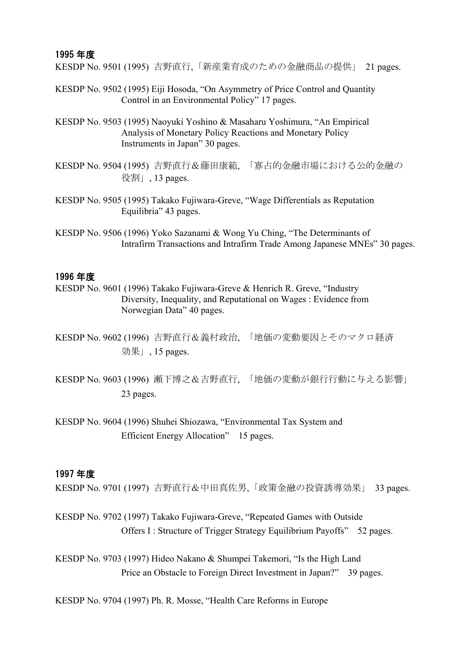#### 1995 年度

KESDP No. 9501 (1995) 吉野直行,「新産業育成のための金融商品の提供」 21 pages.

- KESDP No. 9502 (1995) Eiji Hosoda, "On Asymmetry of Price Control and Quantity Control in an Environmental Policy" 17 pages.
- KESDP No. 9503 (1995) Naoyuki Yoshino & Masaharu Yoshimura, "An Empirical Analysis of Monetary Policy Reactions and Monetary Policy Instruments in Japan" 30 pages.
- KESDP No. 9504 (1995) 吉野直行&藤田康範, 「寡占的金融市場における公的金融の 役割」, 13 pages.
- KESDP No. 9505 (1995) Takako Fujiwara-Greve, "Wage Differentials as Reputation Equilibria" 43 pages.
- KESDP No. 9506 (1996) Yoko Sazanami & Wong Yu Ching, "The Determinants of Intrafirm Transactions and Intrafirm Trade Among Japanese MNEs" 30 pages.

## 1996 年度

- KESDP No. 9601 (1996) Takako Fujiwara-Greve & Henrich R. Greve, "Industry Diversity, Inequality, and Reputational on Wages : Evidence from Norwegian Data" 40 pages.
- KESDP No. 9602 (1996) 吉野直行&義村政治, 「地価の変動要因とそのマクロ経済 効果」, 15 pages.
- KESDP No. 9603 (1996) 瀬下博之&吉野直行, 「地価の変動が銀行行動に与える影響」 23 pages.
- KESDP No. 9604 (1996) Shuhei Shiozawa, "Environmental Tax System and Efficient Energy Allocation" 15 pages.

#### 1997 年度

KESDP No. 9701 (1997) 吉野直行&中田真佐男,「政策金融の投資誘導効果」 33 pages.

KESDP No. 9702 (1997) Takako Fujiwara-Greve, "Repeated Games with Outside Offers I: Structure of Trigger Strategy Equilibrium Payoffs" 52 pages.

KESDP No. 9703 (1997) Hideo Nakano & Shumpei Takemori, "Is the High Land Price an Obstacle to Foreign Direct Investment in Japan?" 39 pages.

KESDP No. 9704 (1997) Ph. R. Mosse, "Health Care Reforms in Europe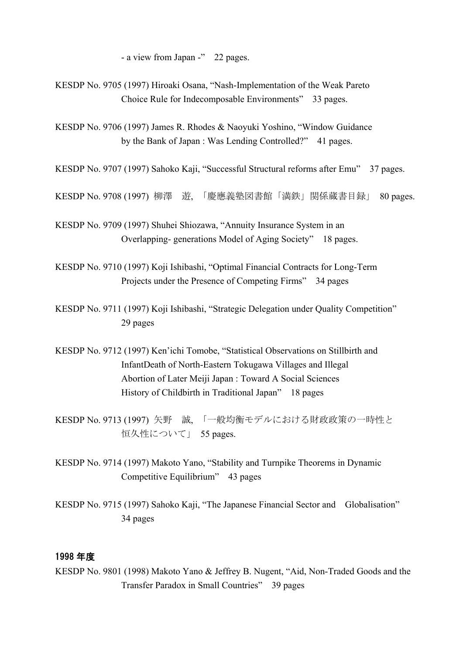- a view from Japan -" 22 pages.

KESDP No. 9705 (1997) Hiroaki Osana, "Nash-Implementation of the Weak Pareto Choice Rule for Indecomposable Environments" 33 pages.

KESDP No. 9706 (1997) James R. Rhodes & Naoyuki Yoshino, "Window Guidance by the Bank of Japan : Was Lending Controlled?" 41 pages.

KESDP No. 9707 (1997) Sahoko Kaji, "Successful Structural reforms after Emu" 37 pages.

KESDP No. 9708 (1997) 柳澤 遊, 「慶應義塾図書館「満鉄」関係蔵書目録」 80 pages.

KESDP No. 9709 (1997) Shuhei Shiozawa, "Annuity Insurance System in an Overlapping- generations Model of Aging Society" 18 pages.

KESDP No. 9710 (1997) Koji Ishibashi, "Optimal Financial Contracts for Long-Term Projects under the Presence of Competing Firms" 34 pages

KESDP No. 9711 (1997) Koji Ishibashi, "Strategic Delegation under Quality Competition" 29 pages

KESDP No. 9712 (1997) Ken'ichi Tomobe, "Statistical Observations on Stillbirth and InfantDeath of North-Eastern Tokugawa Villages and Illegal Abortion of Later Meiji Japan : Toward A Social Sciences History of Childbirth in Traditional Japan" 18 pages

KESDP No. 9713 (1997) 矢野 誠, 「一般均衡モデルにおける財政政策の一時性と 恒久性について」 55 pages.

KESDP No. 9714 (1997) Makoto Yano, "Stability and Turnpike Theorems in Dynamic Competitive Equilibrium" 43 pages

KESDP No. 9715 (1997) Sahoko Kaji, "The Japanese Financial Sector and Globalisation" 34 pages

## 1998 年度

KESDP No. 9801 (1998) Makoto Yano & Jeffrey B. Nugent, "Aid, Non-Traded Goods and the Transfer Paradox in Small Countries" 39 pages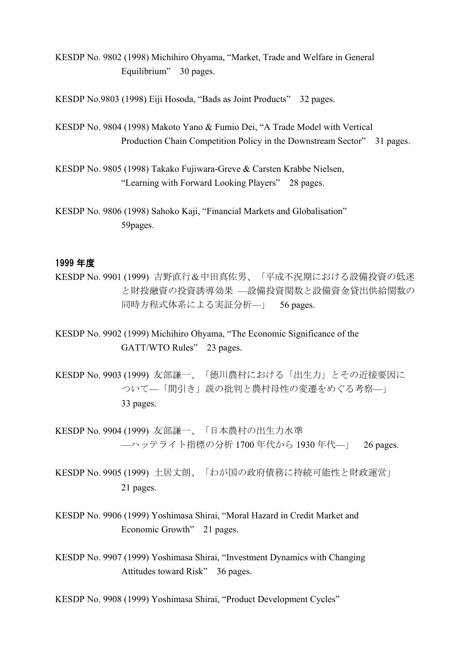KESDP No. 9802 (1998) Michihiro Ohyama, "Market, Trade and Welfare in General Equilibrium" 30 pages.

KESDP No.9803 (1998) Eiji Hosoda, "Bads as Joint Products" 32 pages.

KESDP No. 9804 (1998) Makoto Yano & Fumio Dei, "A Trade Model with Vertical Production Chain Competition Policy in the Downstream Sector" 31 pages.

KESDP No. 9805 (1998) Takako Fujiwara-Greve & Carsten Krabbe Nielsen, "Learning with Forward Looking Players" 28 pages.

KESDP No. 9806 (1998) Sahoko Kaji, "Financial Markets and Globalisation" 59pages.

### 1999 年度

KESDP No. 9901 (1999) 吉野直行&中田真佐男、「平成不況期における設備投資の低迷 と財投融資の投資誘導効果 —設備投資関数と設備資金貸出供給関数の 同時方程式体系による実証分析—」 56 pages.

KESDP No. 9902 (1999) Michihiro Ohyama, "The Economic Significance of the GATT/WTO Rules" 23 pages.

KESDP No. 9903 (1999) 友部謙一、「徳川農村における「出生力」とその近接要因に ついて—「間引き」説の批判と農村母性の変遷をめぐる考察—」 33 pages.

KESDP No. 9904 (1999) 友部謙一、「日本農村の出生力水準 —ハッテライト指標の分析 1700 年代から 1930 年代—」 26 pages.

KESDP No. 9905 (1999) 土居丈朗、「わが国の政府債務に持続可能性と財政運営」 21 pages.

KESDP No. 9906 (1999) Yoshimasa Shirai, "Moral Hazard in Credit Market and Economic Growth" 21 pages.

KESDP No. 9907 (1999) Yoshimasa Shirai, "Investment Dynamics with Changing Attitudes toward Risk" 36 pages.

KESDP No. 9908 (1999) Yoshimasa Shirai, "Product Development Cycles"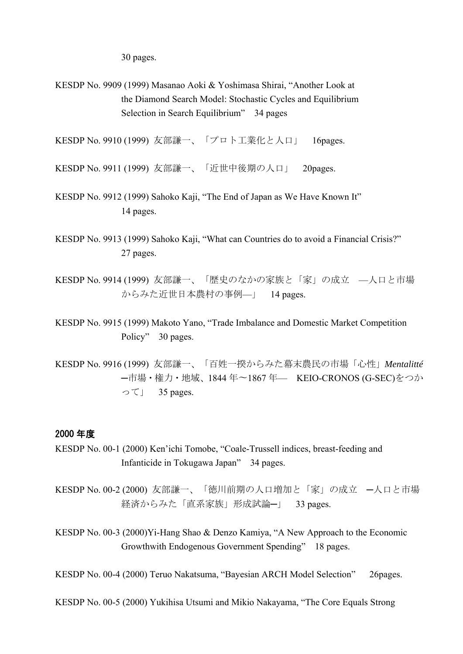30 pages.

KESDP No. 9909 (1999) Masanao Aoki & Yoshimasa Shirai, "Another Look at the Diamond Search Model: Stochastic Cycles and Equilibrium Selection in Search Equilibrium" 34 pages

KESDP No. 9910 (1999) 友部謙一、「プロト工業化と人口」 16pages.

KESDP No. 9911 (1999) 友部謙一、「近世中後期の人口」 20pages.

- KESDP No. 9912 (1999) Sahoko Kaji, "The End of Japan as We Have Known It" 14 pages.
- KESDP No. 9913 (1999) Sahoko Kaji, "What can Countries do to avoid a Financial Crisis?" 27 pages.
- KESDP No. 9914 (1999) 友部謙一、「歴史のなかの家族と「家」の成立 —人口と市場 からみた近世日本農村の事例—」 14 pages.
- KESDP No. 9915 (1999) Makoto Yano, "Trade Imbalance and Domestic Market Competition Policy" 30 pages.
- KESDP No. 9916 (1999) 友部謙一、「百姓一揆からみた幕末農民の市場「心性」*Mentalitté* ─市場・権力・地域、1844 年〜1867 年— KEIO-CRONOS (G-SEC)をつか って」 35 pages.

## 2000 年度

KESDP No. 00-1 (2000) Ken'ichi Tomobe, "Coale-Trussell indices, breast-feeding and Infanticide in Tokugawa Japan" 34 pages.

KESDP No. 00-2 (2000) 友部謙一、「徳川前期の人口増加と「家」の成立 ─人口と市場 経済からみた「直系家族」形成試論─」 33 pages.

KESDP No. 00-3 (2000)Yi-Hang Shao & Denzo Kamiya, "A New Approach to the Economic Growthwith Endogenous Government Spending" 18 pages.

KESDP No. 00-4 (2000) Teruo Nakatsuma, "Bayesian ARCH Model Selection" 26pages.

KESDP No. 00-5 (2000) Yukihisa Utsumi and Mikio Nakayama, "The Core Equals Strong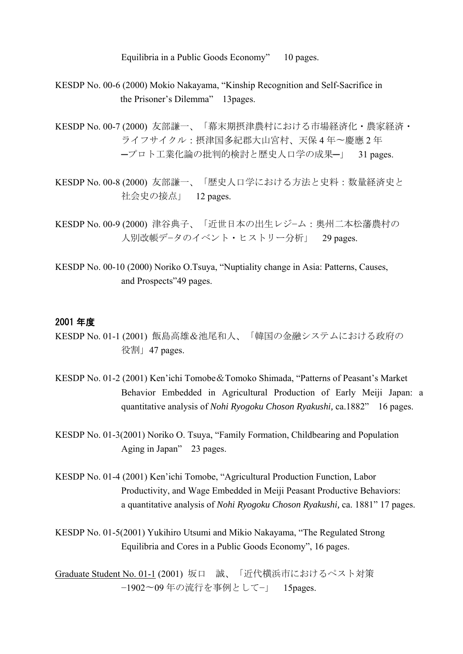Equilibria in a Public Goods Economy" 10 pages.

- KESDP No. 00-6 (2000) Mokio Nakayama, "Kinship Recognition and Self-Sacrifice in the Prisoner's Dilemma" 13pages.
- KESDP No. 00-7 (2000) 友部謙一、「幕末期摂津農村における市場経済化・農家経済・ ライフサイクル:摂津国多紀郡大山宮村、天保 4 年〜慶應 2 年 ─プロト工業化論の批判的検討と歴史人口学の成果─」 31 pages.
- KESDP No. 00-8 (2000) 友部謙一、「歴史人口学における方法と史料:数量経済史と 社会史の接点」 12 pages.
- KESDP No. 00-9 (2000) 津谷典子、「近世日本の出生レジ−ム:奥州二本松藩農村の 人別改帳デ−タのイベント・ヒストリー分析」 29 pages.
- KESDP No. 00-10 (2000) Noriko O.Tsuya, "Nuptiality change in Asia: Patterns, Causes, and Prospects"49 pages.

#### 2001 年度

- KESDP No. 01-1 (2001) 飯島高雄&池尾和人、「韓国の金融システムにおける政府の 役割」47 pages.
- KESDP No. 01-2 (2001) Ken'ichi Tomobe&Tomoko Shimada, "Patterns of Peasant's Market Behavior Embedded in Agricultural Production of Early Meiji Japan: a quantitative analysis of *Nohi Ryogoku Choson Ryakushi,* ca.1882" 16 pages.
- KESDP No. 01-3(2001) Noriko O. Tsuya, "Family Formation, Childbearing and Population Aging in Japan" 23 pages.
- KESDP No. 01-4 (2001) Ken'ichi Tomobe, "Agricultural Production Function, Labor Productivity, and Wage Embedded in Meiji Peasant Productive Behaviors: a quantitative analysis of *Nohi Ryogoku Choson Ryakushi,* ca. 1881" 17 pages.
- KESDP No. 01-5(2001) Yukihiro Utsumi and Mikio Nakayama, "The Regulated Strong Equilibria and Cores in a Public Goods Economy", 16 pages.

Graduate Student No. 01-1 (2001) 坂口 誠、「近代横浜市におけるペスト対策 −1902〜09 年の流行を事例として−」 15pages.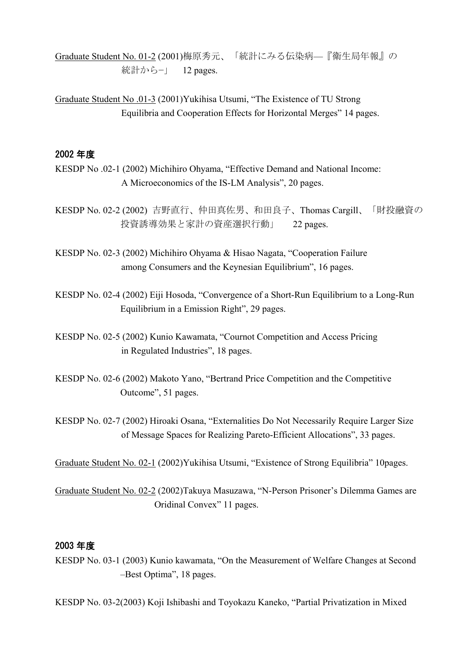Graduate Student No. 01-2 (2001)梅原秀元、「統計にみる伝染病—『衛生局年報』の 統計から−」 12 pages.

Graduate Student No .01-3 (2001)Yukihisa Utsumi, "The Existence of TU Strong Equilibria and Cooperation Effects for Horizontal Merges" 14 pages.

## 2002 年度

KESDP No .02-1 (2002) Michihiro Ohyama, "Effective Demand and National Income: A Microeconomics of the IS-LM Analysis", 20 pages.

KESDP No. 02-2 (2002) 吉野直行、仲田真佐男、和田良子、Thomas Cargill、「財投融資の 投資誘導効果と家計の資産選択行動」 22 pages.

KESDP No. 02-3 (2002) Michihiro Ohyama & Hisao Nagata, "Cooperation Failure among Consumers and the Keynesian Equilibrium", 16 pages.

KESDP No. 02-4 (2002) Eiji Hosoda, "Convergence of a Short-Run Equilibrium to a Long-Run Equilibrium in a Emission Right", 29 pages.

KESDP No. 02-5 (2002) Kunio Kawamata, "Cournot Competition and Access Pricing in Regulated Industries", 18 pages.

KESDP No. 02-6 (2002) Makoto Yano, "Bertrand Price Competition and the Competitive Outcome", 51 pages.

KESDP No. 02-7 (2002) Hiroaki Osana, "Externalities Do Not Necessarily Require Larger Size of Message Spaces for Realizing Pareto-Efficient Allocations", 33 pages.

Graduate Student No. 02-1 (2002)Yukihisa Utsumi, "Existence of Strong Equilibria" 10pages.

Graduate Student No. 02-2 (2002)Takuya Masuzawa, "N-Person Prisoner's Dilemma Games are Oridinal Convex" 11 pages.

## 2003 年度

KESDP No. 03-1 (2003) Kunio kawamata, "On the Measurement of Welfare Changes at Second –Best Optima", 18 pages.

KESDP No. 03-2(2003) Koji Ishibashi and Toyokazu Kaneko, "Partial Privatization in Mixed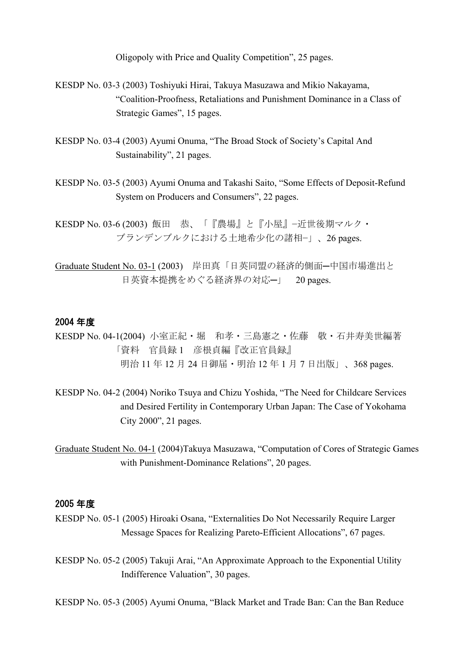Oligopoly with Price and Quality Competition", 25 pages.

- KESDP No. 03-3 (2003) Toshiyuki Hirai, Takuya Masuzawa and Mikio Nakayama, "Coalition-Proofness, Retaliations and Punishment Dominance in a Class of Strategic Games", 15 pages.
- KESDP No. 03-4 (2003) Ayumi Onuma, "The Broad Stock of Society's Capital And Sustainability", 21 pages.
- KESDP No. 03-5 (2003) Ayumi Onuma and Takashi Saito, "Some Effects of Deposit-Refund System on Producers and Consumers", 22 pages.
- KESDP No. 03-6 (2003) 飯田 恭、「『農場』と『小屋』−近世後期マルク・ ブランデンブルクにおける土地希少化の諸相−」、26 pages.
- Graduate Student No. 03-1 (2003) 岸田真「日英同盟の経済的側面─中国市場進出と 日英資本提携をめぐる経済界の対応─」 20 pages.

#### 2004 年度

- KESDP No. 04-1(2004) 小室正紀・堀 和孝・三島憲之・佐藤 敬・石井寿美世編著 「資料 官員録 1 彦根貞編『改正官員録』 明治 11 年 12 月 24 日御届 · 明治 12 年 1 月 7 日出版」、368 pages.
- KESDP No. 04-2 (2004) Noriko Tsuya and Chizu Yoshida, "The Need for Childcare Services and Desired Fertility in Contemporary Urban Japan: The Case of Yokohama City 2000", 21 pages.
- Graduate Student No. 04-1 (2004)Takuya Masuzawa, "Computation of Cores of Strategic Games with Punishment-Dominance Relations", 20 pages.

#### 2005 年度

- KESDP No. 05-1 (2005) Hiroaki Osana, "Externalities Do Not Necessarily Require Larger Message Spaces for Realizing Pareto-Efficient Allocations", 67 pages.
- KESDP No. 05-2 (2005) Takuji Arai, "An Approximate Approach to the Exponential Utility Indifference Valuation", 30 pages.

KESDP No. 05-3 (2005) Ayumi Onuma, "Black Market and Trade Ban: Can the Ban Reduce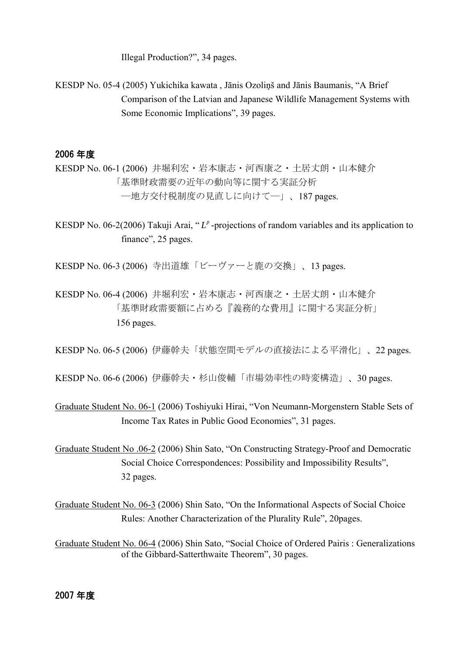Illegal Production?", 34 pages.

KESDP No. 05-4 (2005) Yukichika kawata , Jānis Ozoliņš and Jānis Baumanis, "A Brief Comparison of the Latvian and Japanese Wildlife Management Systems with Some Economic Implications", 39 pages.

# 2006 年度

KESDP No. 06-1 (2006) 井堀利宏・岩本康志・河西康之・土居丈朗・山本健介 「基準財政需要の近年の動向等に関する実証分析 ―地方交付税制度の見直しに向けて―」、187 pages.

KESDP No. 06-2(2006) Takuji Arai, "L<sup>p</sup>-projections of random variables and its application to finance", 25 pages.

KESDP No. 06-3 (2006) 寺出道雄「ビーヴァーと鹿の交換」、13 pages.

KESDP No. 06-4 (2006) 井堀利宏・岩本康志・河西康之・土居丈朗・山本健介 「基準財政需要額に占める『義務的な費用』に関する実証分析」 156 pages.

KESDP No. 06-5 (2006) 伊藤幹夫「状態空間モデルの直接法による平滑化」、22 pages.

KESDP No. 06-6 (2006) 伊藤幹夫・杉山俊輔「市場効率性の時変構造」、30 pages.

- Graduate Student No. 06-1 (2006) Toshiyuki Hirai, "Von Neumann-Morgenstern Stable Sets of Income Tax Rates in Public Good Economies", 31 pages.
- Graduate Student No .06-2 (2006) Shin Sato, "On Constructing Strategy-Proof and Democratic Social Choice Correspondences: Possibility and Impossibility Results", 32 pages.

Graduate Student No. 06-3 (2006) Shin Sato, "On the Informational Aspects of Social Choice Rules: Another Characterization of the Plurality Rule", 20pages.

Graduate Student No. 06-4 (2006) Shin Sato, "Social Choice of Ordered Pairis : Generalizations of the Gibbard-Satterthwaite Theorem", 30 pages.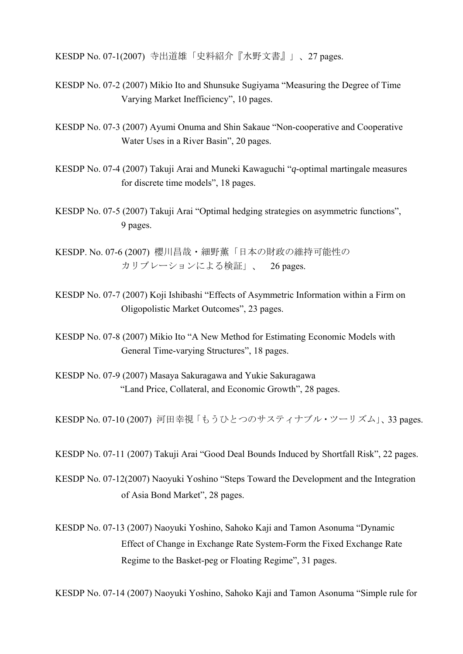KESDP No. 07-1(2007) 寺出道雄「史料紹介『水野文書』」、27 pages.

- KESDP No. 07-2 (2007) Mikio Ito and Shunsuke Sugiyama "Measuring the Degree of Time Varying Market Inefficiency", 10 pages.
- KESDP No. 07-3 (2007) Ayumi Onuma and Shin Sakaue "Non-cooperative and Cooperative Water Uses in a River Basin", 20 pages.
- KESDP No. 07-4 (2007) Takuji Arai and Muneki Kawaguchi "*q*-optimal martingale measures for discrete time models", 18 pages.
- KESDP No. 07-5 (2007) Takuji Arai "Optimal hedging strategies on asymmetric functions", 9 pages.
- KESDP. No. 07-6 (2007) 櫻川昌哉・細野薫「日本の財政の維持可能性の カリブレーションによる検証」、 26 pages.
- KESDP No. 07-7 (2007) Koji Ishibashi "Effects of Asymmetric Information within a Firm on Oligopolistic Market Outcomes", 23 pages.
- KESDP No. 07-8 (2007) Mikio Ito "A New Method for Estimating Economic Models with General Time-varying Structures", 18 pages.
- KESDP No. 07-9 (2007) Masaya Sakuragawa and Yukie Sakuragawa "Land Price, Collateral, and Economic Growth", 28 pages.

KESDP No. 07-10 (2007) 河田幸視「もうひとつのサスティナブル・ツーリズム」、33 pages.

KESDP No. 07-11 (2007) Takuji Arai "Good Deal Bounds Induced by Shortfall Risk", 22 pages.

- KESDP No. 07-12(2007) Naoyuki Yoshino "Steps Toward the Development and the Integration of Asia Bond Market", 28 pages.
- KESDP No. 07-13 (2007) Naoyuki Yoshino, Sahoko Kaji and Tamon Asonuma "Dynamic Effect of Change in Exchange Rate System-Form the Fixed Exchange Rate Regime to the Basket-peg or Floating Regime", 31 pages.

KESDP No. 07-14 (2007) Naoyuki Yoshino, Sahoko Kaji and Tamon Asonuma "Simple rule for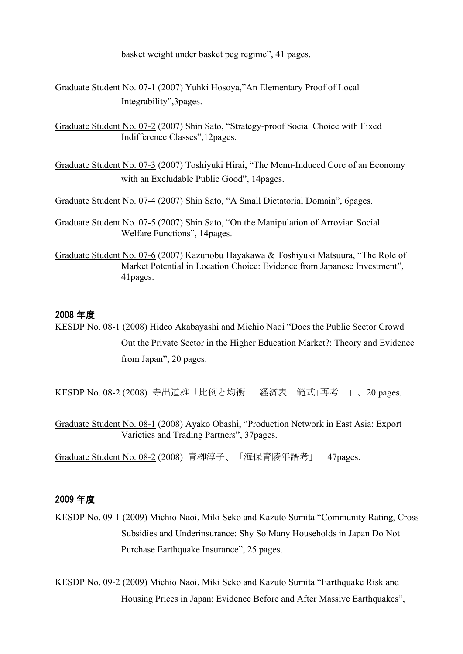basket weight under basket peg regime", 41 pages.

Graduate Student No. 07-1 (2007) Yuhki Hosoya,"An Elementary Proof of Local Integrability",3pages.

Graduate Student No. 07-2 (2007) Shin Sato, "Strategy-proof Social Choice with Fixed Indifference Classes",12pages.

Graduate Student No. 07-3 (2007) Toshiyuki Hirai, "The Menu-Induced Core of an Economy with an Excludable Public Good", 14pages.

Graduate Student No. 07-4 (2007) Shin Sato, "A Small Dictatorial Domain", 6pages.

Graduate Student No. 07-5 (2007) Shin Sato, "On the Manipulation of Arrovian Social Welfare Functions", 14pages.

Graduate Student No. 07-6 (2007) Kazunobu Hayakawa & Toshiyuki Matsuura, "The Role of Market Potential in Location Choice: Evidence from Japanese Investment", 41pages.

## 2008 年度

KESDP No. 08-1 (2008) Hideo Akabayashi and Michio Naoi "Does the Public Sector Crowd Out the Private Sector in the Higher Education Market?: Theory and Evidence from Japan", 20 pages.

KESDP No. 08-2 (2008) 寺出道雄「比例と均衡―「経済表 範式」再考―」、20 pages.

Graduate Student No. 08-1 (2008) Ayako Obashi, "Production Network in East Asia: Export Varieties and Trading Partners", 37pages.

Graduate Student No. 08-2 (2008) 青栁淳子、「海保青陵年譜考」 47pages.

## 2009 年度

KESDP No. 09-1 (2009) Michio Naoi, Miki Seko and Kazuto Sumita "Community Rating, Cross Subsidies and Underinsurance: Shy So Many Households in Japan Do Not Purchase Earthquake Insurance", 25 pages.

KESDP No. 09-2 (2009) Michio Naoi, Miki Seko and Kazuto Sumita "Earthquake Risk and Housing Prices in Japan: Evidence Before and After Massive Earthquakes",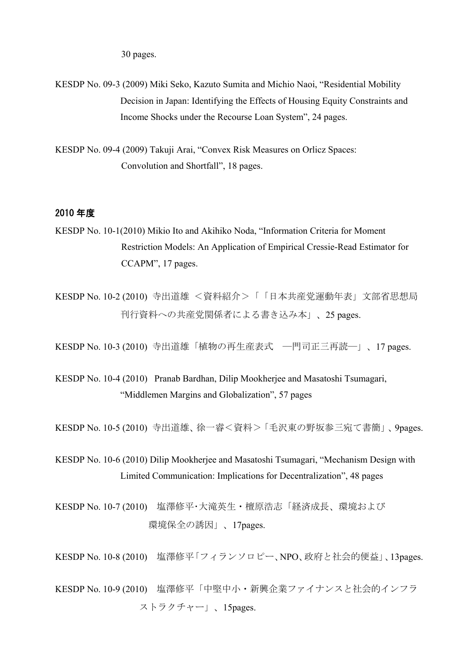30 pages.

- KESDP No. 09-3 (2009) Miki Seko, Kazuto Sumita and Michio Naoi, "Residential Mobility Decision in Japan: Identifying the Effects of Housing Equity Constraints and Income Shocks under the Recourse Loan System", 24 pages.
- KESDP No. 09-4 (2009) Takuji Arai, "Convex Risk Measures on Orlicz Spaces: Convolution and Shortfall", 18 pages.

## 2010 年度

- KESDP No. 10-1(2010) Mikio Ito and Akihiko Noda, "Information Criteria for Moment Restriction Models: An Application of Empirical Cressie-Read Estimator for CCAPM", 17 pages.
- KESDP No. 10-2 (2010) 寺出道雄 <資料紹介>「「日本共産党運動年表」文部省思想局 刊行資料への共産党関係者による書き込み本」、25 pages.

KESDP No. 10-3 (2010) 寺出道雄「植物の再生産表式 ―門司正三再読―」、17 pages.

KESDP No. 10-4 (2010) Pranab Bardhan, Dilip Mookherjee and Masatoshi Tsumagari, "Middlemen Margins and Globalization", 57 pages

KESDP No. 10-5 (2010) 寺出道雄、徐一睿<資料>「毛沢東の野坂参三宛て書簡」、9pages.

KESDP No. 10-6 (2010) Dilip Mookherjee and Masatoshi Tsumagari, "Mechanism Design with Limited Communication: Implications for Decentralization", 48 pages

KESDP No. 10-7 (2010) 塩澤修平・大滝英生・檀原浩志「経済成長、環境および 環境保全の誘因」、17pages.

KESDP No. 10-8 (2010) 塩澤修平「フィランソロピー、NPO、政府と社会的便益」、13pages.

KESDP No. 10-9 (2010) 塩澤修平「中堅中小・新興企業ファイナンスと社会的インフラ ストラクチャー」、15pages.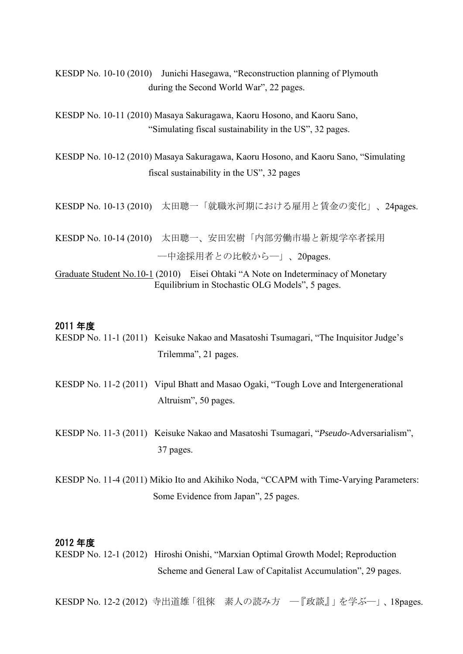KESDP No. 10-10 (2010) Junichi Hasegawa, "Reconstruction planning of Plymouth during the Second World War", 22 pages.

KESDP No. 10-11 (2010) Masaya Sakuragawa, Kaoru Hosono, and Kaoru Sano, "Simulating fiscal sustainability in the US", 32 pages.

KESDP No. 10-12 (2010) Masaya Sakuragawa, Kaoru Hosono, and Kaoru Sano, "Simulating fiscal sustainability in the US", 32 pages

KESDP No. 10-13 (2010) 太田聰一「就職氷河期における雇用と賃金の変化」、24pages.

KESDP No. 10-14 (2010) 太田聰一、安田宏樹「内部労働市場と新規学卒者採用 ―中途採用者との比較から―」、20pages.

Graduate Student No.10-1 (2010) Eisei Ohtaki "A Note on Indeterminacy of Monetary Equilibrium in Stochastic OLG Models", 5 pages.

#### 2011 年度

- KESDP No. 11-1 (2011) Keisuke Nakao and Masatoshi Tsumagari, "The Inquisitor Judge's Trilemma", 21 pages.
- KESDP No. 11-2 (2011) Vipul Bhatt and Masao Ogaki, "Tough Love and Intergenerational Altruism", 50 pages.
- KESDP No. 11-3 (2011) Keisuke Nakao and Masatoshi Tsumagari, "*Pseudo*-Adversarialism", 37 pages.
- KESDP No. 11-4 (2011) Mikio Ito and Akihiko Noda, "CCAPM with Time-Varying Parameters: Some Evidence from Japan", 25 pages.

#### 2012 年度

KESDP No. 12-1 (2012) Hiroshi Onishi, "Marxian Optimal Growth Model; Reproduction Scheme and General Law of Capitalist Accumulation", 29 pages.

KESDP No. 12-2 (2012) 寺出道雄「徂徠 素人の読み方 ―『政談』」を学ぶ―」、18pages.